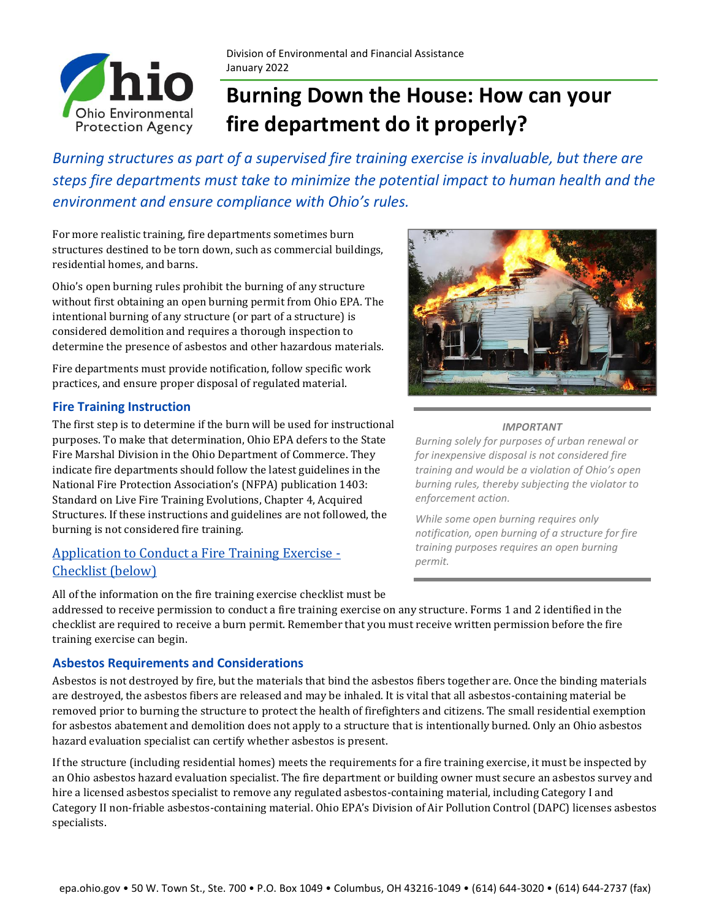

Division of Environmental and Financial Assistance January 2022

# **Burning Down the House: How can your fire department do it properly?**

*Burning structures as part of a supervised fire training exercise is invaluable, but there are steps fire departments must take to minimize the potential impact to human health and the environment and ensure compliance with Ohio's rules.*

For more realistic training, fire departments sometimes burn structures destined to be torn down, such as commercial buildings, residential homes, and barns.

Ohio's open burning rules prohibit the burning of any structure without first obtaining an open burning permit from Ohio EPA. The intentional burning of any structure (or part of a structure) is considered demolition and requires a thorough inspection to determine the presence of asbestos and other hazardous materials.

Fire departments must provide notification, follow specific work practices, and ensure proper disposal of regulated material.

### **Fire Training Instruction**

The first step is to determine if the burn will be used for instructional purposes. To make that determination, Ohio EPA defers to the State Fire Marshal Division in the Ohio Department of Commerce. They indicate fire departments should follow the latest guidelines in the National Fire Protection Association's (NFPA) publication 1403: Standard on Live Fire Training Evolutions, Chapter 4, Acquired Structures. If these instructions and guidelines are not followed, the burning is not considered fire training.

### Application to Conduct a Fire Training Exercise - Checklist (below)





### *IMPORTANT*

*Burning solely for purposes of urban renewal or for inexpensive disposal is not considered fire training and would be a violation of Ohio's open burning rules, thereby subjecting the violator to enforcement action.*

*While some open burning requires only notification, open burning of a structure for fire training purposes requires an open burning permit.*

addressed to receive permission to conduct a fire training exercise on any structure. Forms 1 and 2 identified in the checklist are required to receive a burn permit. Remember that you must receive written permission before the fire training exercise can begin.

### **Asbestos Requirements and Considerations**

Asbestos is not destroyed by fire, but the materials that bind the asbestos fibers together are. Once the binding materials are destroyed, the asbestos fibers are released and may be inhaled. It is vital that all asbestos-containing material be removed prior to burning the structure to protect the health of firefighters and citizens. The small residential exemption for asbestos abatement and demolition does not apply to a structure that is intentionally burned. Only an Ohio asbestos hazard evaluation specialist can certify whether asbestos is present.

If the structure (including residential homes) meets the requirements for a fire training exercise, it must be inspected by an Ohio asbestos hazard evaluation specialist. The fire department or building owner must secure an asbestos survey and hire a licensed asbestos specialist to remove any regulated asbestos-containing material, including Category I and Category II non-friable asbestos-containing material. Ohio EPA's Division of Air Pollution Control (DAPC) licenses asbestos specialists.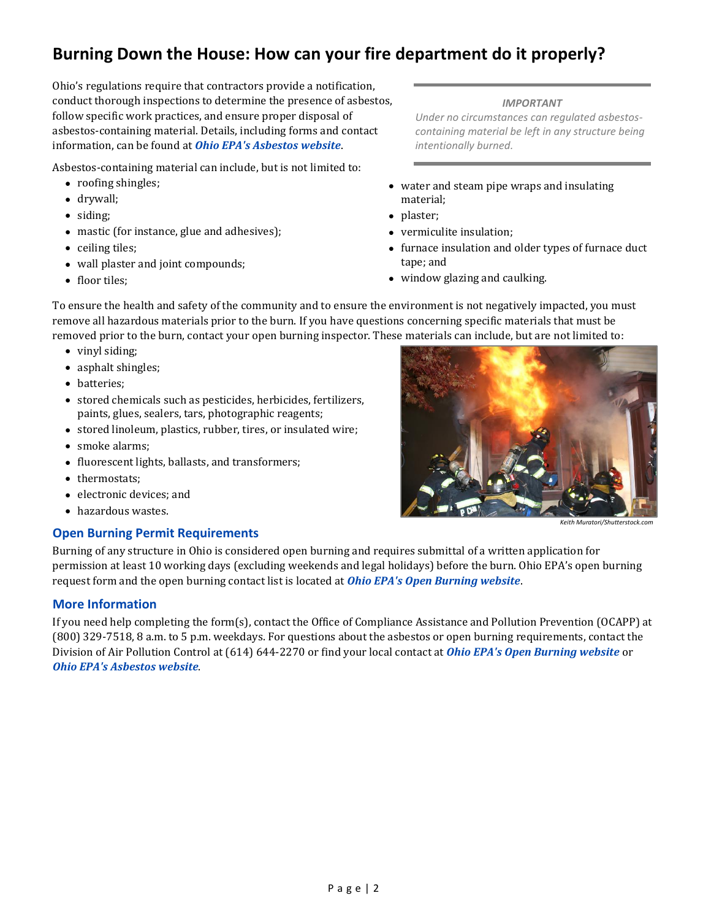### **Burning Down the House: How can your fire department do it properly?**

Ohio's regulations require that contractors provide a notification, conduct thorough inspections to determine the presence of asbestos, follow specific work practices, and ensure proper disposal of asbestos-containing material. Details, including forms and contact information, can be found at *[Ohio EPA's Asbestos website](https://epa.ohio.gov/wps/portal/gov/epa/divisions-and-offices/air-pollution-control/asbestos-abatement-and-demolition)*.

Asbestos-containing material can include, but is not limited to:

- roofing shingles;
- drywall;
- siding;
- mastic (for instance, glue and adhesives);
- ceiling tiles;
- wall plaster and joint compounds;
- floor tiles;

#### *IMPORTANT*

*Under no circumstances can regulated asbestoscontaining material be left in any structure being intentionally burned.*

- water and steam pipe wraps and insulating material;
- plaster;
- vermiculite insulation;
- furnace insulation and older types of furnace duct tape; and
- window glazing and caulking.

To ensure the health and safety of the community and to ensure the environment is not negatively impacted, you must remove all hazardous materials prior to the burn. If you have questions concerning specific materials that must be removed prior to the burn, contact your open burning inspector. These materials can include, but are not limited to:

- vinyl siding;
- asphalt shingles;
- batteries;
- stored chemicals such as pesticides, herbicides, fertilizers, paints, glues, sealers, tars, photographic reagents;
- stored linoleum, plastics, rubber, tires, or insulated wire;
- smoke alarms;
- fluorescent lights, ballasts, and transformers;
- thermostats;
- electronic devices; and
- hazardous wastes.

### **Open Burning Permit Requirements**

Burning of any structure in Ohio is considered open burning and requires submittal of a written application for permission at least 10 working days (excluding weekends and legal holidays) before the burn. Ohio EPA's open burning request form and the open burning contact list is located at *[Ohio EPA's Open Burning website](https://epa.ohio.gov/wps/portal/gov/epa/divisions-and-offices/air-pollution-control/open-burning)*.

### **More Information**

If you need help completing the form(s), contact the Office of Compliance Assistance and Pollution Prevention (OCAPP) at (800) 329-7518, 8 a.m. to 5 p.m. weekdays. For questions about the asbestos or open burning requirements, contact the Division of Air Pollution Control at (614) 644-2270 or find your local contact at *[Ohio EPA's Open Burning website](https://epa.ohio.gov/wps/portal/gov/epa/divisions-and-offices/air-pollution-control/open-burning)* or *[Ohio EPA's Asbestos website](https://epa.ohio.gov/wps/portal/gov/epa/divisions-and-offices/air-pollution-control/asbestos-abatement-and-demolition)*.



*Keith Muratori/Shutterstock.com*